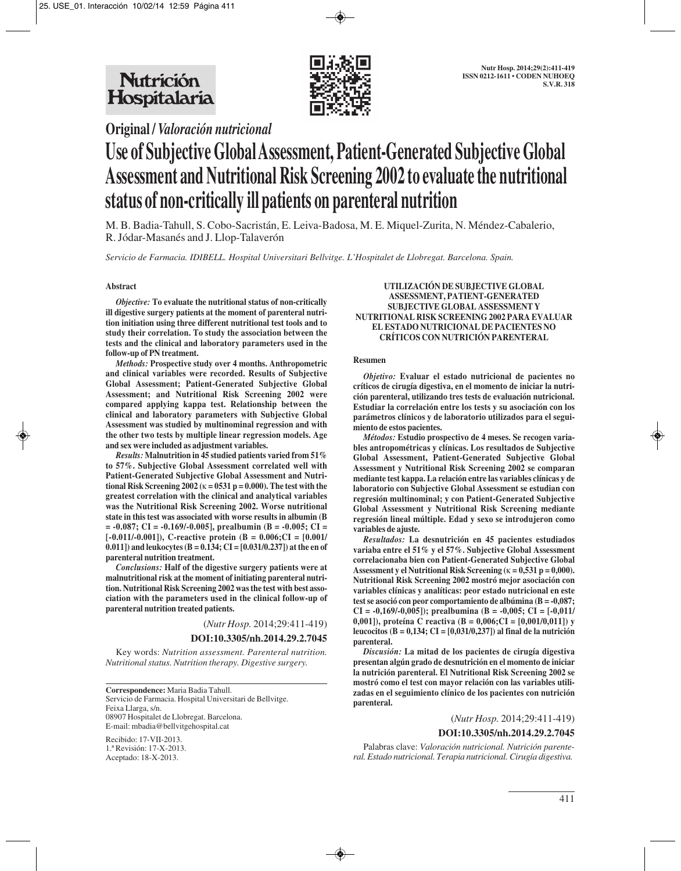



**Original /** *Valoración nutricional*

# **Use of Subjective Global Assessment, Patient-Generated Subjective Global Assessment and Nutritional Risk Screening 2002 to evaluate the nutritional status of non-critically ill patients on parenteral nutrition**

M. B. Badia-Tahull, S. Cobo-Sacristán, E. Leiva-Badosa, M. E. Miquel-Zurita, N. Méndez-Cabalerio, R. Jódar-Masanés and J. Llop-Talaverón

*Servicio de Farmacia. IDIBELL. Hospital Universitari Bellvitge. L'Hospitalet de Llobregat. Barcelona. Spain.*

## **Abstract**

*Objective:* **To evaluate the nutritional status of non-critically ill digestive surgery patients at the moment of parenteral nutrition initiation using three different nutritional test tools and to study their correlation. To study the association between the tests and the clinical and laboratory parameters used in the follow-up of PN treatment.** 

*Methods:* **Prospective study over 4 months. Anthropometric and clinical variables were recorded. Results of Subjective Global Assessment; Patient-Generated Subjective Global Assessment; and Nutritional Risk Screening 2002 were compared applying kappa test. Relationship between the clinical and laboratory parameters with Subjective Global Assessment was studied by multinominal regression and with the other two tests by multiple linear regression models. Age and sex were included as adjustment variables.** 

*Results:* **Malnutrition in 45 studied patients varied from 51% to 57%. Subjective Global Assessment correlated well with Patient-Generated Subjective Global Assessment and Nutritional Risk Screening 2002 (**κ **= 0531 p = 0.000). The test with the greatest correlation with the clinical and analytical variables was the Nutritional Risk Screening 2002. Worse nutritional state in this test was associated with worse results in albumin (B = -0.087; CI = -0.169/-0.005], prealbumin (B = -0.005; CI = [-0.011/-0.001]), C-reactive protein (B = 0.006;CI = [0.001/ 0.011]) and leukocytes (B = 0.134; CI = [0.031/0.237]) at the en of parenteral nutrition treatment.** 

*Conclusions:* **Half of the digestive surgery patients were at malnutritional risk at the moment of initiating parenteral nutrition. Nutritional Risk Screening 2002 was the test with best association with the parameters used in the clinical follow-up of parenteral nutrition treated patients.**

(*Nutr Hosp.* 2014;29:411-419)

## **DOI:10.3305/nh.2014.29.2.7045**

Key words: *Nutrition assessment. Parenteral nutrition. Nutritional status. Nutrition therapy. Digestive surgery.*

**Correspondence:** Maria Badia Tahull. Servicio de Farmacia. Hospital Universitari de Bellvitge. Feixa Llarga, s/n. 08907 Hospitalet de Llobregat. Barcelona. E-mail: mbadia@bellvitgehospital.cat

Recibido: 17-VII-2013. 1.ª Revisión: 17-X-2013. Aceptado: 18-X-2013.

#### **UTILIZACIÓN DE SUBJECTIVE GLOBAL ASSESSMENT, PATIENT-GENERATED SUBJECTIVE GLOBAL ASSESSMENT Y NUTRITIONAL RISK SCREENING 2002 PARA EVALUAR EL ESTADO NUTRICIONAL DE PACIENTES NO CRÍTICOS CON NUTRICIÓN PARENTERAL**

#### **Resumen**

*Objetivo:* **Evaluar el estado nutricional de pacientes no críticos de cirugía digestiva, en el momento de iniciar la nutrición parenteral, utilizando tres tests de evaluación nutricional. Estudiar la correlación entre los tests y su asociación con los parámetros clínicos y de laboratorio utilizados para el seguimiento de estos pacientes.** 

*Métodos:* **Estudio prospectivo de 4 meses. Se recogen variables antropométricas y clínicas. Los resultados de Subjective Global Assessment, Patient-Generated Subjective Global Assessment y Nutritional Risk Screening 2002 se comparan mediante test kappa. La relación entre las variables clínicas y de laboratorio con Subjective Global Assessment se estudian con regresión multinominal; y con Patient-Generated Subjective Global Assessment y Nutritional Risk Screening mediante regresión lineal múltiple. Edad y sexo se introdujeron como variables de ajuste.**

*Resultados:* **La desnutrición en 45 pacientes estudiados variaba entre el 51% y el 57%. Subjective Global Assessment correlacionaba bien con Patient-Generated Subjective Global Assessment y el Nutritional Risk Screening (**κ **= 0,531 p = 0,000). Nutritional Risk Screening 2002 mostró mejor asociación con variables clínicas y analíticas: peor estado nutricional en este test se asoció con peor comportamiento de albúmina (B = -0,087; CI = -0,169/-0,005]); prealbumina (B = -0,005; CI = [-0,011/ 0,001]), proteína C reactiva (B = 0,006;CI = [0,001/0,011]) y leucocitos (B = 0,134; CI = [0,031/0,237]) al final de la nutrición parenteral.** 

*Discusión:* **La mitad de los pacientes de cirugía digestiva presentan algún grado de desnutrición en el momento de iniciar la nutrición parenteral. El Nutritional Risk Screening 2002 se mostró como el test con mayor relación con las variables utilizadas en el seguimiento clínico de los pacientes con nutrición parenteral.**

#### (*Nutr Hosp.* 2014;29:411-419)

#### **DOI:10.3305/nh.2014.29.2.7045**

Palabras clave: *Valoración nutricional. Nutrición parenteral. Estado nutricional. Terapia nutricional. Cirugía digestiva.*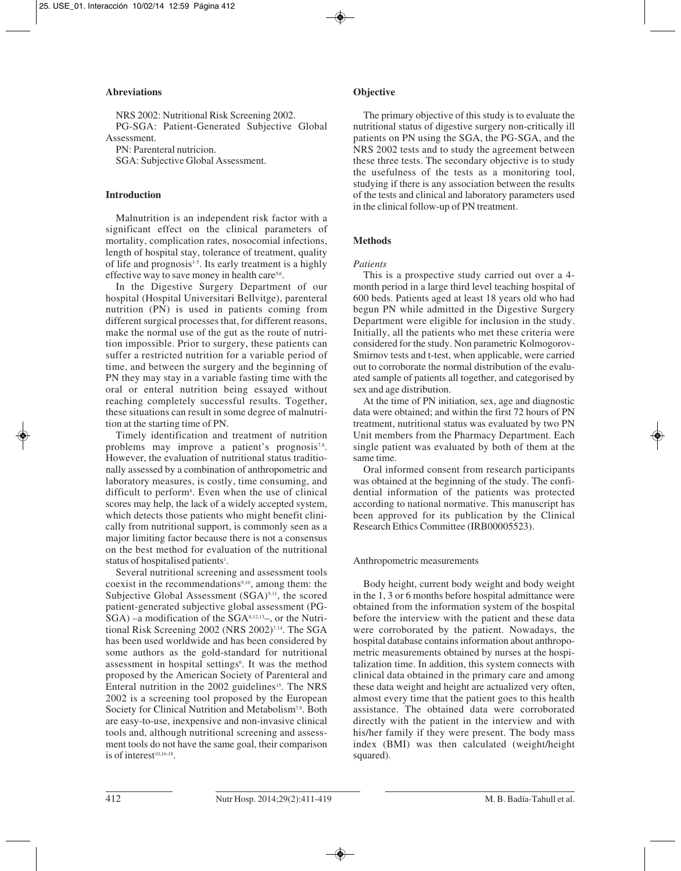# **Abreviations**

NRS 2002: Nutritional Risk Screening 2002. PG-SGA: Patient-Generated Subjective Global Assessment.

PN: Parenteral nutricion.

SGA: Subjective Global Assessment.

# **Introduction**

Malnutrition is an independent risk factor with a significant effect on the clinical parameters of mortality, complication rates, nosocomial infections, length of hospital stay, tolerance of treatment, quality of life and prognosis<sup>1-5</sup>. Its early treatment is a highly effective way to save money in health care<sup>5,6</sup>.

In the Digestive Surgery Department of our hospital (Hospital Universitari Bellvitge), parenteral nutrition (PN) is used in patients coming from different surgical processes that, for different reasons, make the normal use of the gut as the route of nutrition impossible. Prior to surgery, these patients can suffer a restricted nutrition for a variable period of time, and between the surgery and the beginning of PN they may stay in a variable fasting time with the oral or enteral nutrition being essayed without reaching completely successful results. Together, these situations can result in some degree of malnutrition at the starting time of PN.

Timely identification and treatment of nutrition problems may improve a patient's prognosis<sup>7,8</sup>. However, the evaluation of nutritional status traditionally assessed by a combination of anthropometric and laboratory measures, is costly, time consuming, and difficult to perform<sup>8</sup>. Even when the use of clinical scores may help, the lack of a widely accepted system, which detects those patients who might benefit clinically from nutritional support, is commonly seen as a major limiting factor because there is not a consensus on the best method for evaluation of the nutritional status of hospitalised patients<sup>1</sup>.

Several nutritional screening and assessment tools coexist in the recommendations9,10, among them: the Subjective Global Assessment (SGA)<sup>9,11</sup>, the scored patient-generated subjective global assessment (PG- $SGA$ ) –a modification of the  $SGA<sup>8,12,13</sup>$ –, or the Nutritional Risk Screening 2002 (NRS 2002)<sup>7,14</sup>. The SGA has been used worldwide and has been considered by some authors as the gold-standard for nutritional assessment in hospital settings<sup>6</sup>. It was the method proposed by the American Society of Parenteral and Enteral nutrition in the 2002 guidelines<sup>15</sup>. The NRS 2002 is a screening tool proposed by the European Society for Clinical Nutrition and Metabolism<sup>7,9</sup>. Both are easy-to-use, inexpensive and non-invasive clinical tools and, although nutritional screening and assessment tools do not have the same goal, their comparison is of interest<sup>10,16-18</sup>.

# **Objective**

The primary objective of this study is to evaluate the nutritional status of digestive surgery non-critically ill patients on PN using the SGA, the PG-SGA, and the NRS 2002 tests and to study the agreement between these three tests. The secondary objective is to study the usefulness of the tests as a monitoring tool, studying if there is any association between the results of the tests and clinical and laboratory parameters used in the clinical follow-up of PN treatment.

# **Methods**

## *Patients*

This is a prospective study carried out over a 4 month period in a large third level teaching hospital of 600 beds. Patients aged at least 18 years old who had begun PN while admitted in the Digestive Surgery Department were eligible for inclusion in the study. Initially, all the patients who met these criteria were considered for the study. Non parametric Kolmogorov-Smirnov tests and t-test, when applicable, were carried out to corroborate the normal distribution of the evaluated sample of patients all together, and categorised by sex and age distribution.

At the time of PN initiation, sex, age and diagnostic data were obtained; and within the first 72 hours of PN treatment, nutritional status was evaluated by two PN Unit members from the Pharmacy Department. Each single patient was evaluated by both of them at the same time.

Oral informed consent from research participants was obtained at the beginning of the study. The confidential information of the patients was protected according to national normative. This manuscript has been approved for its publication by the Clinical Research Ethics Committee (IRB00005523).

## Anthropometric measurements

Body height, current body weight and body weight in the 1, 3 or 6 months before hospital admittance were obtained from the information system of the hospital before the interview with the patient and these data were corroborated by the patient. Nowadays, the hospital database contains information about anthropometric measurements obtained by nurses at the hospitalization time. In addition, this system connects with clinical data obtained in the primary care and among these data weight and height are actualized very often, almost every time that the patient goes to this health assistance. The obtained data were corroborated directly with the patient in the interview and with his/her family if they were present. The body mass index (BMI) was then calculated (weight/height squared).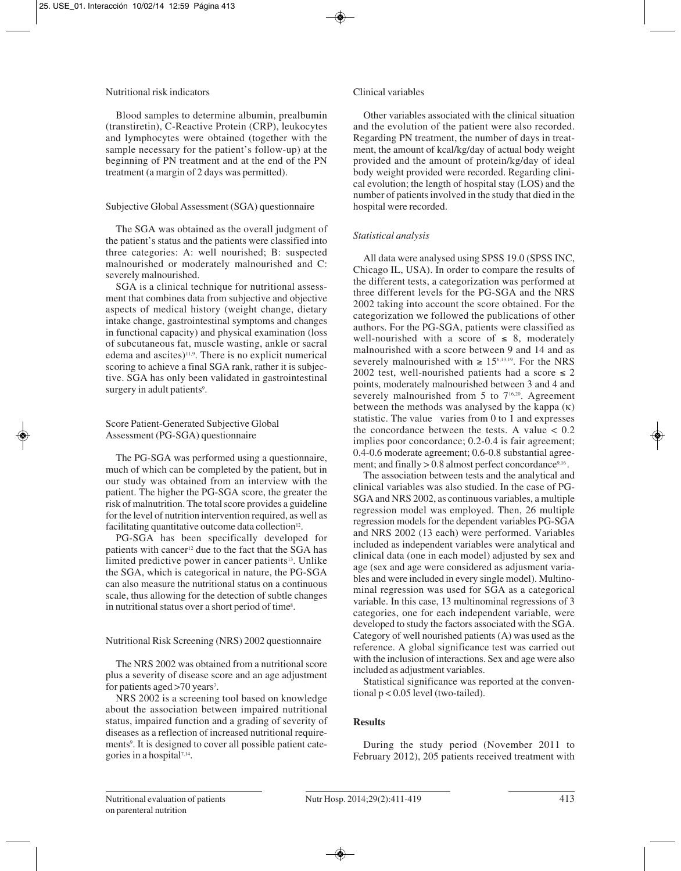# Nutritional risk indicators

Blood samples to determine albumin, prealbumin (transtiretin), C-Reactive Protein (CRP), leukocytes and lymphocytes were obtained (together with the sample necessary for the patient's follow-up) at the beginning of PN treatment and at the end of the PN treatment (a margin of 2 days was permitted).

# Subjective Global Assessment (SGA) questionnaire

The SGA was obtained as the overall judgment of the patient's status and the patients were classified into three categories: A: well nourished; B: suspected malnourished or moderately malnourished and C: severely malnourished.

SGA is a clinical technique for nutritional assessment that combines data from subjective and objective aspects of medical history (weight change, dietary intake change, gastrointestinal symptoms and changes in functional capacity) and physical examination (loss of subcutaneous fat, muscle wasting, ankle or sacral edema and ascites) $11,9$ . There is no explicit numerical scoring to achieve a final SGA rank, rather it is subjective. SGA has only been validated in gastrointestinal surgery in adult patients<sup>9</sup>.

# Score Patient-Generated Subjective Global Assessment (PG-SGA) questionnaire

The PG-SGA was performed using a questionnaire, much of which can be completed by the patient, but in our study was obtained from an interview with the patient. The higher the PG-SGA score, the greater the risk of malnutrition. The total score provides a guideline for the level of nutrition intervention required, as well as facilitating quantitative outcome data collection<sup>12</sup>.

PG-SGA has been specifically developed for patients with cancer<sup>12</sup> due to the fact that the SGA has limited predictive power in cancer patients<sup>13</sup>. Unlike the SGA, which is categorical in nature, the PG-SGA can also measure the nutritional status on a continuous scale, thus allowing for the detection of subtle changes in nutritional status over a short period of time<sup>8</sup>.

# Nutritional Risk Screening (NRS) 2002 questionnaire

The NRS 2002 was obtained from a nutritional score plus a severity of disease score and an age adjustment for patients aged > 70 years<sup>7</sup>.

NRS 2002 is a screening tool based on knowledge about the association between impaired nutritional status, impaired function and a grading of severity of diseases as a reflection of increased nutritional requirements<sup>9</sup>. It is designed to cover all possible patient categories in a hospital $7,14$ .

# Clinical variables

Other variables associated with the clinical situation and the evolution of the patient were also recorded. Regarding PN treatment, the number of days in treatment, the amount of kcal/kg/day of actual body weight provided and the amount of protein/kg/day of ideal body weight provided were recorded. Regarding clinical evolution; the length of hospital stay (LOS) and the number of patients involved in the study that died in the hospital were recorded.

# *Statistical analysis*

All data were analysed using SPSS 19.0 (SPSS INC, Chicago IL, USA). In order to compare the results of the different tests, a categorization was performed at three different levels for the PG-SGA and the NRS 2002 taking into account the score obtained. For the categorization we followed the publications of other authors. For the PG-SGA, patients were classified as well-nourished with a score of  $\leq 8$ , moderately malnourished with a score between 9 and 14 and as severely malnourished with  $\geq 15^{6,13,19}$ . For the NRS 2002 test, well-nourished patients had a score  $\leq 2$ points, moderately malnourished between 3 and 4 and severely malnourished from 5 to 7<sup>16,20</sup>. Agreement between the methods was analysed by the kappa  $(\kappa)$ statistic. The value varies from 0 to 1 and expresses the concordance between the tests. A value  $< 0.2$ implies poor concordance; 0.2-0.4 is fair agreement; 0.4-0.6 moderate agreement; 0.6-0.8 substantial agreement; and finally  $> 0.8$  almost perfect concordance<sup>9,16</sup>.

The association between tests and the analytical and clinical variables was also studied. In the case of PG-SGA and NRS 2002, as continuous variables, a multiple regression model was employed. Then, 26 multiple regression models for the dependent variables PG-SGA and NRS 2002 (13 each) were performed. Variables included as independent variables were analytical and clinical data (one in each model) adjusted by sex and age (sex and age were considered as adjusment variables and were included in every single model). Multinominal regression was used for SGA as a categorical variable. In this case, 13 multinominal regressions of 3 categories, one for each independent variable, were developed to study the factors associated with the SGA. Category of well nourished patients (A) was used as the reference. A global significance test was carried out with the inclusion of interactions. Sex and age were also included as adjustment variables.

Statistical significance was reported at the conventional p < 0.05 level (two-tailed).

# **Results**

During the study period (November 2011 to February 2012), 205 patients received treatment with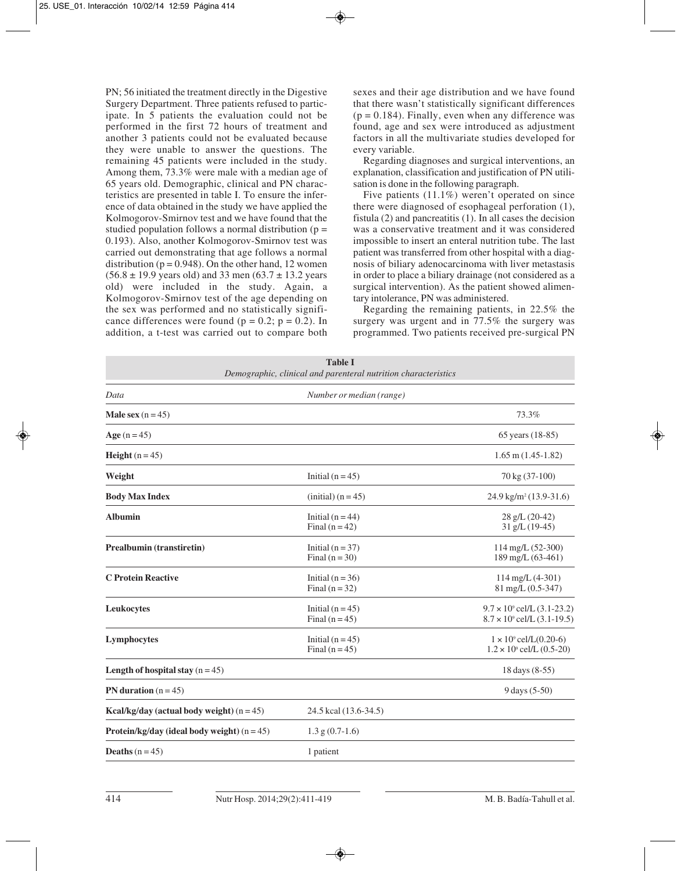PN; 56 initiated the treatment directly in the Digestive Surgery Department. Three patients refused to participate. In 5 patients the evaluation could not be performed in the first 72 hours of treatment and another 3 patients could not be evaluated because they were unable to answer the questions. The remaining 45 patients were included in the study. Among them, 73.3% were male with a median age of 65 years old. Demographic, clinical and PN characteristics are presented in table I. To ensure the inference of data obtained in the study we have applied the Kolmogorov-Smirnov test and we have found that the studied population follows a normal distribution ( $p =$ 0.193). Also, another Kolmogorov-Smirnov test was carried out demonstrating that age follows a normal distribution ( $p = 0.948$ ). On the other hand, 12 women  $(56.8 \pm 19.9 \text{ years} \text{ old})$  and 33 men  $(63.7 \pm 13.2 \text{ years}$ old) were included in the study. Again, a Kolmogorov-Smirnov test of the age depending on the sex was performed and no statistically significance differences were found ( $p = 0.2$ ;  $p = 0.2$ ). In addition, a t-test was carried out to compare both sexes and their age distribution and we have found that there wasn't statistically significant differences  $(p = 0.184)$ . Finally, even when any difference was found, age and sex were introduced as adjustment factors in all the multivariate studies developed for every variable.

Regarding diagnoses and surgical interventions, an explanation, classification and justification of PN utilisation is done in the following paragraph.

Five patients (11.1%) weren't operated on since there were diagnosed of esophageal perforation (1), fistula (2) and pancreatitis (1). In all cases the decision was a conservative treatment and it was considered impossible to insert an enteral nutrition tube. The last patient was transferred from other hospital with a diagnosis of biliary adenocarcinoma with liver metastasis in order to place a biliary drainage (not considered as a surgical intervention). As the patient showed alimentary intolerance, PN was administered.

Regarding the remaining patients, in 22.5% the surgery was urgent and in 77.5% the surgery was programmed. Two patients received pre-surgical PN

| <b>Table I</b><br>Demographic, clinical and parenteral nutrition characteristics |                                        |                                                                                |  |
|----------------------------------------------------------------------------------|----------------------------------------|--------------------------------------------------------------------------------|--|
| Data                                                                             | Number or median (range)               |                                                                                |  |
| <b>Male sex</b> $(n = 45)$                                                       |                                        | 73.3%                                                                          |  |
| Age $(n = 45)$                                                                   |                                        | 65 years (18-85)                                                               |  |
| <b>Height</b> $(n = 45)$                                                         |                                        | $1.65$ m $(1.45-1.82)$                                                         |  |
| Weight                                                                           | Initial $(n = 45)$                     | 70 kg (37-100)                                                                 |  |
| <b>Body Max Index</b>                                                            | $(inital)$ (n = 45)                    | 24.9 kg/m <sup>2</sup> (13.9-31.6)                                             |  |
| <b>Albumin</b>                                                                   | Initial $(n = 44)$<br>Final $(n=42)$   | $28$ g/L $(20-42)$<br>31 g/L (19-45)                                           |  |
| Prealbumin (transtiretin)                                                        | Initial $(n = 37)$<br>Final $(n = 30)$ | $114 \text{ mg/L} (52-300)$<br>189 mg/L (63-461)                               |  |
| <b>C</b> Protein Reactive                                                        | Initial ( $n = 36$ )<br>Final $(n=32)$ | $114$ mg/L $(4-301)$<br>81 mg/L (0.5-347)                                      |  |
| Leukocytes                                                                       | Initial $(n = 45)$<br>Final $(n=45)$   | $9.7 \times 10^{\circ}$ cel/L (3.1-23.2)<br>$8.7 \times 10^9$ cel/L (3.1-19.5) |  |
| Lymphocytes                                                                      | Initial $(n = 45)$<br>Final $(n = 45)$ | $1 \times 10^9$ cel/L(0.20-6)<br>$1.2 \times 10^9$ cel/L (0.5-20)              |  |
| Length of hospital stay $(n = 45)$                                               |                                        | 18 days (8-55)                                                                 |  |
| PN duration $(n = 45)$                                                           |                                        | 9 days (5-50)                                                                  |  |
| Kcal/kg/day (actual body weight) $(n = 45)$                                      | 24.5 kcal (13.6-34.5)                  |                                                                                |  |
| <b>Protein/kg/day (ideal body weight)</b> $(n = 45)$                             | $1.3$ g $(0.7-1.6)$                    |                                                                                |  |
| <b>Deaths</b> $(n = 45)$                                                         | 1 patient                              |                                                                                |  |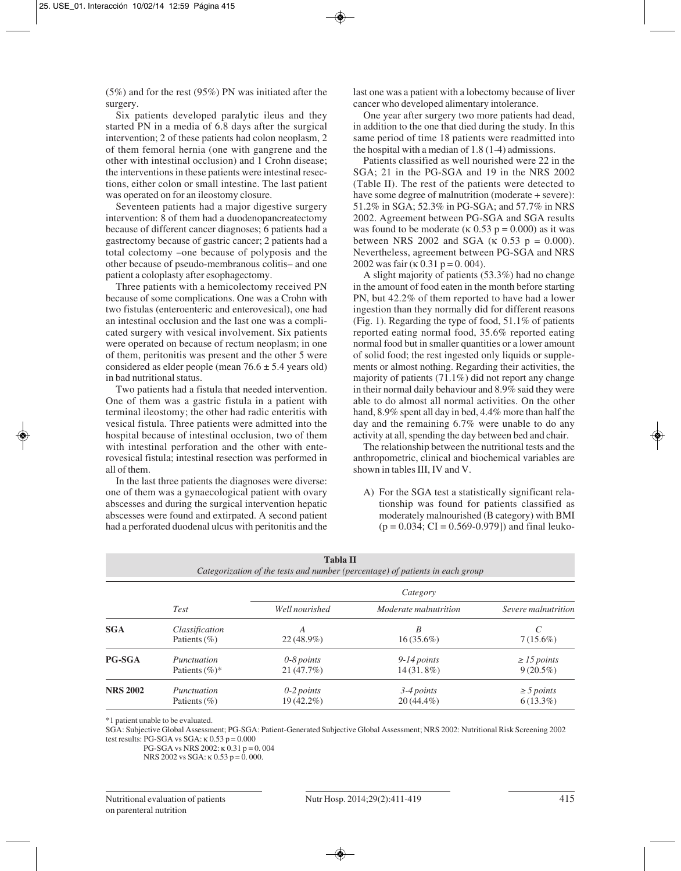(5%) and for the rest (95%) PN was initiated after the surgery.

Six patients developed paralytic ileus and they started PN in a media of 6.8 days after the surgical intervention; 2 of these patients had colon neoplasm, 2 of them femoral hernia (one with gangrene and the other with intestinal occlusion) and 1 Crohn disease; the interventions in these patients were intestinal resections, either colon or small intestine. The last patient was operated on for an ileostomy closure.

Seventeen patients had a major digestive surgery intervention: 8 of them had a duodenopancreatectomy because of different cancer diagnoses; 6 patients had a gastrectomy because of gastric cancer; 2 patients had a total colectomy –one because of polyposis and the other because of pseudo-membranous colitis– and one patient a coloplasty after esophagectomy.

Three patients with a hemicolectomy received PN because of some complications. One was a Crohn with two fistulas (enteroenteric and enterovesical), one had an intestinal occlusion and the last one was a complicated surgery with vesical involvement. Six patients were operated on because of rectum neoplasm; in one of them, peritonitis was present and the other 5 were considered as elder people (mean  $76.6 \pm 5.4$  years old) in bad nutritional status.

Two patients had a fistula that needed intervention. One of them was a gastric fistula in a patient with terminal ileostomy; the other had radic enteritis with vesical fistula. Three patients were admitted into the hospital because of intestinal occlusion, two of them with intestinal perforation and the other with enterovesical fistula; intestinal resection was performed in all of them.

In the last three patients the diagnoses were diverse: one of them was a gynaecological patient with ovary abscesses and during the surgical intervention hepatic abscesses were found and extirpated. A second patient had a perforated duodenal ulcus with peritonitis and the last one was a patient with a lobectomy because of liver cancer who developed alimentary intolerance.

One year after surgery two more patients had dead, in addition to the one that died during the study. In this same period of time 18 patients were readmitted into the hospital with a median of 1.8 (1-4) admissions.

Patients classified as well nourished were 22 in the SGA; 21 in the PG-SGA and 19 in the NRS 2002 (Table II). The rest of the patients were detected to have some degree of malnutrition (moderate + severe): 51.2% in SGA; 52.3% in PG-SGA; and 57.7% in NRS 2002. Agreement between PG-SGA and SGA results was found to be moderate ( $\kappa$  0.53 p = 0.000) as it was between NRS 2002 and SGA (κ 0.53 p = 0.000). Nevertheless, agreement between PG-SGA and NRS 2002 was fair (κ 0.31 p = 0.004).

A slight majority of patients (53.3%) had no change in the amount of food eaten in the month before starting PN, but 42.2% of them reported to have had a lower ingestion than they normally did for different reasons (Fig. 1). Regarding the type of food, 51.1% of patients reported eating normal food, 35.6% reported eating normal food but in smaller quantities or a lower amount of solid food; the rest ingested only liquids or supplements or almost nothing. Regarding their activities, the majority of patients (71.1%) did not report any change in their normal daily behaviour and 8.9% said they were able to do almost all normal activities. On the other hand, 8.9% spent all day in bed, 4.4% more than half the day and the remaining 6.7% were unable to do any activity at all, spending the day between bed and chair.

The relationship between the nutritional tests and the anthropometric, clinical and biochemical variables are shown in tables III, IV and V.

A) For the SGA test a statistically significant relationship was found for patients classified as moderately malnourished (B category) with BMI  $(p = 0.034; CI = 0.569 - 0.979)$  and final leuko-

| <b>Tabla II</b><br>Categorization of the tests and number (percentage) of patients in each group |                                    |                            |                               |                                 |  |
|--------------------------------------------------------------------------------------------------|------------------------------------|----------------------------|-------------------------------|---------------------------------|--|
|                                                                                                  |                                    | Category                   |                               |                                 |  |
|                                                                                                  | <b>Test</b>                        | Well nourished             | <i>Moderate malnutrition</i>  | Severe malnutrition             |  |
| <b>SGA</b>                                                                                       | Classification<br>Patients $(\% )$ | A<br>22 (48.9%)            | B<br>$16(35.6\%)$             | $7(15.6\%)$                     |  |
| PG-SGA                                                                                           | Punctuation<br>Patients $(\%)^*$   | $0-8$ points<br>21(47.7%)  | $9-14$ points<br>$14(31.8\%)$ | $\geq$ 15 points<br>$9(20.5\%)$ |  |
| <b>NRS 2002</b>                                                                                  | Punctuation<br>Patients $(\% )$    | $0-2$ points<br>19 (42.2%) | $3-4$ points<br>$20(44.4\%)$  | $\geq$ 5 points<br>$6(13.3\%)$  |  |

\*1 patient unable to be evaluated.

SGA: Subjective Global Assessment; PG-SGA: Patient-Generated Subjective Global Assessment; NRS 2002: Nutritional Risk Screening 2002 test results: PG-SGA vs SGA:  $\kappa$  0.53 p = 0.000

PG-SGA vs NRS 2002: κ 0.31 p = 0. 004

NRS 2002 vs SGA: κ 0.53 p = 0.000.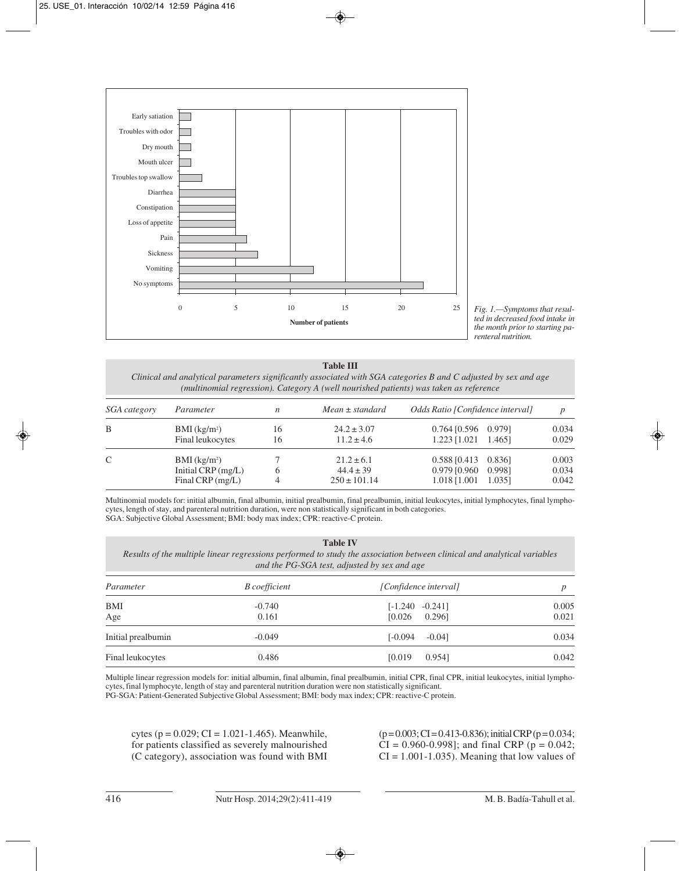

*Fig. 1.—Symptoms that resulted in decreased food intake in the month prior to starting parenteral nutrition.*

# **Table III**

*Clinical and analytical parameters significantly associated with SGA categories B and C adjusted by sex and age (multinomial regression). Category A (well nourished patients) was taken as reference*

| <i>SGA category</i> | Parameter                                                                | $\boldsymbol{n}$ | $Mean \pm standard$                                 | Odds Ratio [Confidence interval]                                                | $\boldsymbol{D}$        |
|---------------------|--------------------------------------------------------------------------|------------------|-----------------------------------------------------|---------------------------------------------------------------------------------|-------------------------|
| B                   | $BMI$ (kg/m <sup>2</sup> )<br>Final leukocytes                           | 16<br>16         | $24.2 \pm 3.07$<br>$11.2 \pm 4.6$                   | $0.764$ [0.596 0.979]<br>$1.223$ [1.021 1.465]                                  | 0.034<br>0.029          |
| $\mathcal{C}$       | $BMI$ (kg/m <sup>2</sup> )<br>Initial CRP $(mg/L)$<br>Final CRP $(mg/L)$ | 6                | $21.2 \pm 6.1$<br>$44.4 \pm 39$<br>$250 \pm 101.14$ | $0.588$ [0.413<br>0.8361<br>$0.979$ [0.960<br>0.9981<br>1.018 [1.001]<br>1.0351 | 0.003<br>0.034<br>0.042 |

Multinomial models for: initial albumin, final albumin, initial prealbumin, final prealbumin, initial leukocytes, initial lymphocytes, final lymphocytes, length of stay, and parenteral nutrition duration, were non statistically significant in both categories. SGA: Subjective Global Assessment; BMI: body max index; CPR: reactive-C protein.

#### **Table IV**

*Results of the multiple linear regressions performed to study the association between clinical and analytical variables and the PG-SGA test, adjusted by sex and age*

| Parameter          | <b>B</b> coefficient | [Confidence interval]  |       |
|--------------------|----------------------|------------------------|-------|
| BMI                | $-0.740$             | $[-1.240 -0.241]$      | 0.005 |
| Age                | 0.161                | 0.2961<br>[0.026]      | 0.021 |
| Initial prealbumin | $-0.049$             | $[-0.094]$<br>$-0.041$ | 0.034 |
| Final leukocytes   | 0.486                | 0.9541<br>[0.019]      | 0.042 |

Multiple linear regression models for: initial albumin, final albumin, final prealbumin, initial CPR, final CPR, initial leukocytes, initial lymphocytes, final lymphocyte, length of stay and parenteral nutrition duration were non statistically significant.

PG-SGA: Patient-Generated Subjective Global Assessment; BMI: body max index; CPR: reactive-C protein.

cytes ( $p = 0.029$ ; CI = 1.021-1.465). Meanwhile, for patients classified as severely malnourished (C category), association was found with BMI

 $(p=0.003; CI = 0.413-0.836)$ ; initial CRP  $(p=0.034;$  $CI = 0.960 - 0.998$ ; and final CRP ( $p = 0.042$ ;  $CI = 1.001 - 1.035$ . Meaning that low values of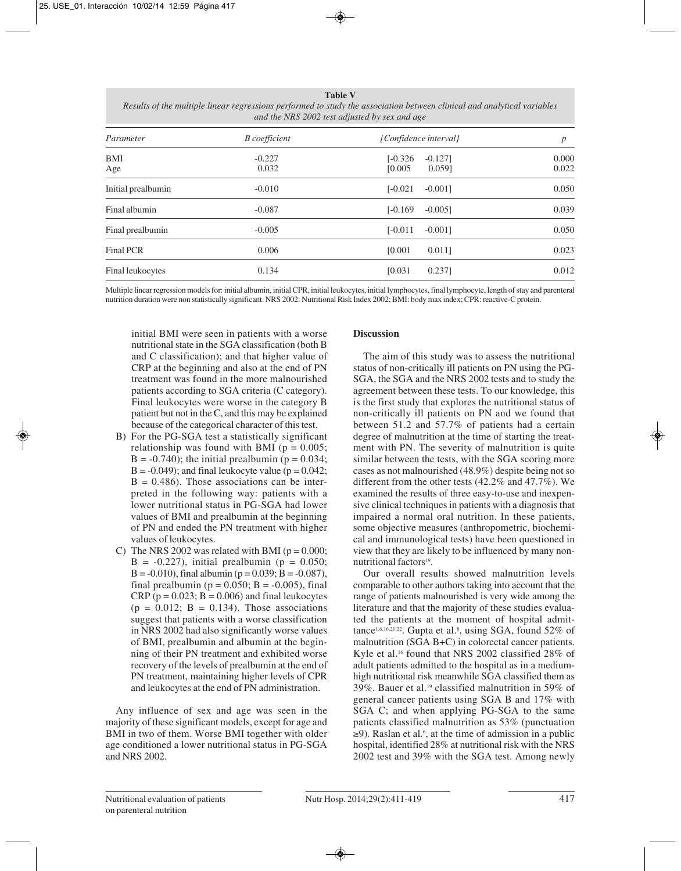#### **Table V**

| Results of the multiple linear regressions performed to study the association between clinical and analytical variables |                                               |  |  |
|-------------------------------------------------------------------------------------------------------------------------|-----------------------------------------------|--|--|
|                                                                                                                         | and the NRS 2002 test adjusted by sex and age |  |  |

| Parameter          | <b>B</b> coefficient | [Confidence interval]                       | $\boldsymbol{p}$ |  |
|--------------------|----------------------|---------------------------------------------|------------------|--|
| <b>BMI</b><br>Age  | $-0.227$<br>0.032    | $[-0.326]$<br>$-0.127$<br>[0.005]<br>0.0591 | 0.000<br>0.022   |  |
| Initial prealbumin | $-0.010$             | $[-0.021]$<br>$-0.0011$                     | 0.050            |  |
| Final albumin      | $-0.087$             | $[-0.169]$<br>$-0.005$ ]                    | 0.039            |  |
| Final prealbumin   | $-0.005$             | $[-0.011]$<br>$-0.0011$                     | 0.050            |  |
| Final PCR          | 0.006                | [0.001]<br>0.0111                           | 0.023            |  |
| Final leukocytes   | 0.134                | 0.2371<br>[0.031]                           | 0.012            |  |

Multiple linear regression models for: initial albumin, initial CPR, initial leukocytes, initial lymphocytes, final lymphocyte, length of stay and parenteral nutrition duration were non statistically significant. NRS 2002: Nutritional Risk Index 2002; BMI: body max index; CPR: reactive-C protein.

initial BMI were seen in patients with a worse nutritional state in the SGA classification (both B and C classification); and that higher value of CRP at the beginning and also at the end of PN treatment was found in the more malnourished patients according to SGA criteria (C category). Final leukocytes were worse in the category B patient but not in the C, and this may be explained because of the categorical character of this test.

- B) For the PG-SGA test a statistically significant relationship was found with BMI ( $p = 0.005$ ;  $B = -0.740$ ; the initial prealbumin ( $p = 0.034$ ;  $B = -0.049$ ; and final leukocyte value ( $p = 0.042$ ;  $B = 0.486$ . Those associations can be interpreted in the following way: patients with a lower nutritional status in PG-SGA had lower values of BMI and prealbumin at the beginning of PN and ended the PN treatment with higher values of leukocytes.
- C) The NRS 2002 was related with BMI ( $p = 0.000$ ;  $B = -0.227$ , initial prealbumin (p = 0.050;  $B = -0.010$ , final albumin (p = 0.039; B = -0.087), final prealbumin ( $p = 0.050$ ;  $B = -0.005$ ), final CRP ( $p = 0.023$ ;  $B = 0.006$ ) and final leukocytes  $(p = 0.012; B = 0.134)$ . Those associations suggest that patients with a worse classification in NRS 2002 had also significantly worse values of BMI, prealbumin and albumin at the beginning of their PN treatment and exhibited worse recovery of the levels of prealbumin at the end of PN treatment, maintaining higher levels of CPR and leukocytes at the end of PN administration.

Any influence of sex and age was seen in the majority of these significant models, except for age and BMI in two of them. Worse BMI together with older age conditioned a lower nutritional status in PG-SGA and NRS 2002.

## **Discussion**

The aim of this study was to assess the nutritional status of non-critically ill patients on PN using the PG-SGA, the SGA and the NRS 2002 tests and to study the agreement between these tests. To our knowledge, this is the first study that explores the nutritional status of non-critically ill patients on PN and we found that between 51.2 and 57.7% of patients had a certain degree of malnutrition at the time of starting the treatment with PN. The severity of malnutrition is quite similar between the tests, with the SGA scoring more cases as not malnourished (48.9%) despite being not so different from the other tests (42.2% and 47.7%). We examined the results of three easy-to-use and inexpensive clinical techniques in patients with a diagnosis that impaired a normal oral nutrition. In these patients, some objective measures (anthropometric, biochemi cal and immunological tests) have been questioned in view that they are likely to be influenced by many nonnutritional factors<sup>19</sup>.

Our overall results showed malnutrition levels comparable to other authors taking into account that the range of patients malnourished is very wide among the literature and that the majority of these studies evaluated the patients at the moment of hospital admittance<sup>1,6,16,21,22</sup>. Gupta et al.<sup>8</sup>, using SGA, found 52% of malnutrition (SGA B+C) in colorectal cancer patients. Kyle et al.16 found that NRS 2002 classified 28% of adult patients admitted to the hospital as in a mediumhigh nutritional risk meanwhile SGA classified them as 39%. Bauer et al.19 classified malnutrition in 59% of general cancer patients using SGA B and 17% with SGA C; and when applying PG-SGA to the same patients classified malnutrition as 53% (punctuation ≥9). Raslan et al.6 , at the time of admission in a public hospital, identified 28% at nutritional risk with the NRS 2002 test and 39% with the SGA test. Among newly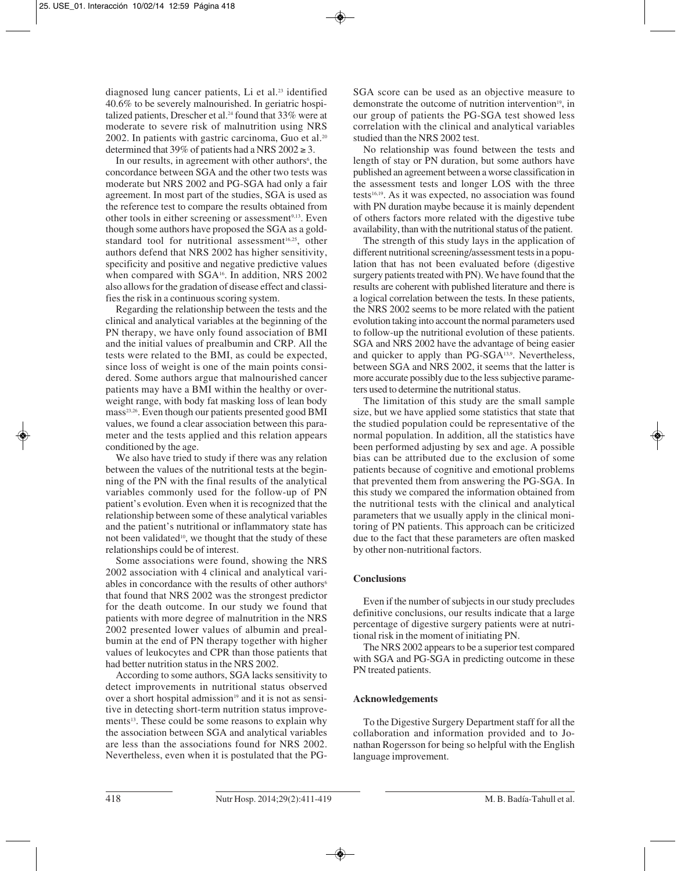diagnosed lung cancer patients, Li et al.<sup>23</sup> identified 40.6% to be severely malnourished. In geriatric hospitalized patients, Drescher et al.<sup>24</sup> found that 33% were at moderate to severe risk of malnutrition using NRS 2002. In patients with gastric carcinoma, Guo et al.<sup>20</sup> determined that 39% of patients had a NRS  $2002 \ge 3$ .

In our results, in agreement with other authors<sup>6</sup>, the concordance between SGA and the other two tests was moderate but NRS 2002 and PG-SGA had only a fair agreement. In most part of the studies, SGA is used as the reference test to compare the results obtained from other tools in either screening or assessment<sup>9,13</sup>. Even though some authors have proposed the SGA as a goldstandard tool for nutritional assessment<sup>16,25</sup>, other authors defend that NRS 2002 has higher sensitivity, specificity and positive and negative predictive values when compared with SGA<sup>16</sup>. In addition, NRS 2002 also allows for the gradation of disease effect and classi fies the risk in a continuous scoring system.

Regarding the relationship between the tests and the clinical and analytical variables at the beginning of the PN therapy, we have only found association of BMI and the initial values of prealbumin and CRP. All the tests were related to the BMI, as could be expected, since loss of weight is one of the main points considered. Some authors argue that malnourished cancer patients may have a BMI within the healthy or overweight range, with body fat masking loss of lean body mass<sup>23,26</sup>. Even though our patients presented good BMI values, we found a clear association between this parameter and the tests applied and this relation appears conditioned by the age.

We also have tried to study if there was any relation between the values of the nutritional tests at the beginning of the PN with the final results of the analytical variables commonly used for the follow-up of PN patient's evolution. Even when it is recognized that the relationship between some of these analytical variables and the patient's nutritional or inflammatory state has not been validated<sup>10</sup>, we thought that the study of these relationships could be of interest.

Some associations were found, showing the NRS 2002 association with 4 clinical and analytical variables in concordance with the results of other authors<sup>6</sup> that found that NRS 2002 was the strongest predictor for the death outcome. In our study we found that patients with more degree of malnutrition in the NRS 2002 presented lower values of albumin and prealbumin at the end of PN therapy together with higher values of leukocytes and CPR than those patients that had better nutrition status in the NRS 2002.

According to some authors, SGA lacks sensitivity to detect improvements in nutritional status observed over a short hospital admission<sup>19</sup> and it is not as sensitive in detecting short-term nutrition status improvements<sup>13</sup>. These could be some reasons to explain why the association between SGA and analytical variables are less than the associations found for NRS 2002. Nevertheless, even when it is postulated that the PG-

SGA score can be used as an objective measure to demonstrate the outcome of nutrition intervention<sup>19</sup>, in our group of patients the PG-SGA test showed less correlation with the clinical and analytical variables studied than the NRS 2002 test.

No relationship was found between the tests and length of stay or PN duration, but some authors have published an agreement between a worse classification in the assessment tests and longer LOS with the three tests<sup>16,19</sup>. As it was expected, no association was found with PN duration maybe because it is mainly dependent of others factors more related with the digestive tube availability, than with the nutritional status of the patient.

The strength of this study lays in the application of different nutritional screening/assessment tests in a population that has not been evaluated before (digestive surgery patients treated with PN). We have found that the results are coherent with published literature and there is a logical correlation between the tests. In these patients, the NRS 2002 seems to be more related with the patient evolution taking into account the normal parameters used to follow-up the nutritional evolution of these patients. SGA and NRS 2002 have the advantage of being easier and quicker to apply than PG-SGA<sup>13,9</sup>. Nevertheless, between SGA and NRS 2002, it seems that the latter is more accurate possibly due to the less subjective parameters used to determine the nutritional status.

The limitation of this study are the small sample size, but we have applied some statistics that state that the studied population could be representative of the normal population. In addition, all the statistics have been performed adjusting by sex and age. A possible bias can be attributed due to the exclusion of some patients because of cognitive and emotional problems that prevented them from answering the PG-SGA. In this study we compared the information obtained from the nutritional tests with the clinical and analytical parameters that we usually apply in the clinical monitoring of PN patients. This approach can be criticized due to the fact that these parameters are often masked by other non-nutritional factors.

## **Conclusions**

Even if the number of subjects in our study precludes definitive conclusions, our results indicate that a large percentage of digestive surgery patients were at nutritional risk in the moment of initiating PN.

The NRS 2002 appears to be a superior test compared with SGA and PG-SGA in predicting outcome in these PN treated patients.

## **Acknowledgements**

To the Digestive Surgery Department staff for all the collaboration and information provided and to Jonathan Rogersson for being so helpful with the English language improvement.